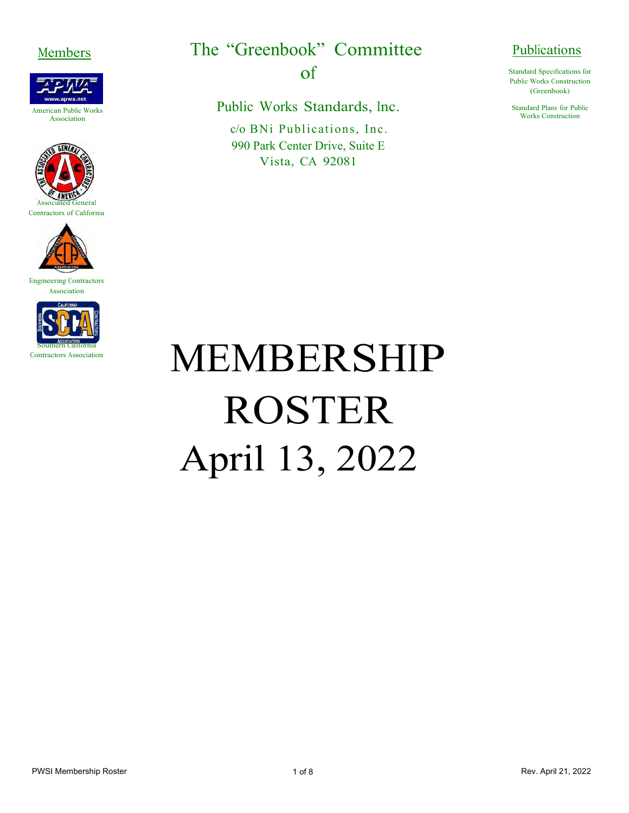







Engineering Contractors Association



Members The "Greenbook" Committee Publications

of

Public Works Standards, Inc.

c/o BNi Publications, Inc. 990 Park Center Drive, Suite E Vista, CA 92081

Standard Specifications for Public Works Construction (Greenbook)

Standard Plans for Public Works Construction

## MEMBERSHIP ROSTER April 13, 2022

PWSI Membership Roster **National Accord Politics** 1 of 8 April 21, 2022 **Rev. April 21, 2022**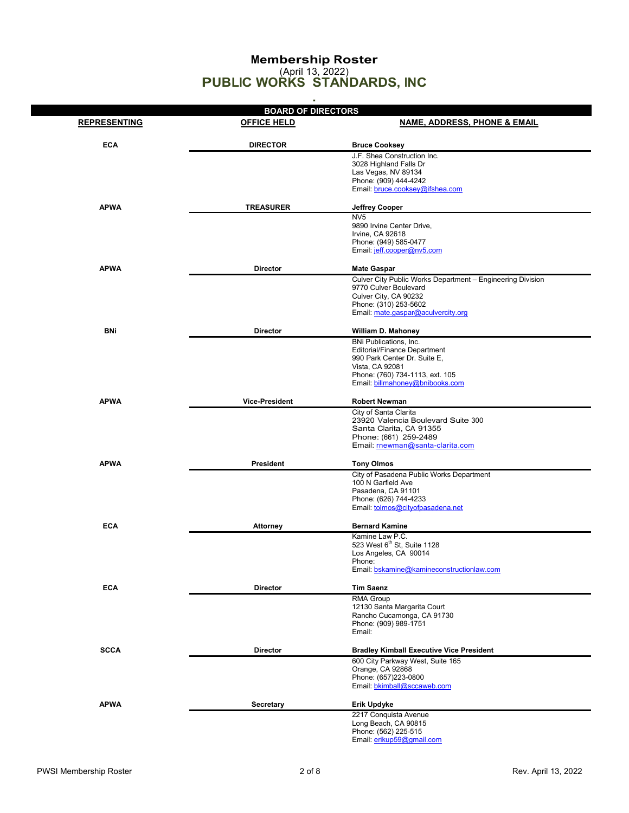## **Membership Roster** (April 13, 2022) **PUBLIC WORKS STANDARDS, INC**

|                     | ٠                         |                                                                    |
|---------------------|---------------------------|--------------------------------------------------------------------|
|                     | <b>BOARD OF DIRECTORS</b> |                                                                    |
| <b>REPRESENTING</b> | <b>OFFICE HELD</b>        | <b>NAME, ADDRESS, PHONE &amp; EMAIL</b>                            |
| <b>ECA</b>          | <b>DIRECTOR</b>           | <b>Bruce Cooksey</b>                                               |
|                     |                           | J.F. Shea Construction Inc.                                        |
|                     |                           | 3028 Highland Falls Dr                                             |
|                     |                           | Las Vegas, NV 89134<br>Phone: (909) 444-4242                       |
|                     |                           | Email: bruce.cooksey@ifshea.com                                    |
| <b>APWA</b>         | <b>TREASURER</b>          | <b>Jeffrey Cooper</b>                                              |
|                     |                           | NV <sub>5</sub>                                                    |
|                     |                           | 9890 Irvine Center Drive,                                          |
|                     |                           | Irvine, CA 92618<br>Phone: (949) 585-0477                          |
|                     |                           | Email: jeff.cooper@nv5.com                                         |
| <b>APWA</b>         | <b>Director</b>           | <b>Mate Gaspar</b>                                                 |
|                     |                           | Culver City Public Works Department - Engineering Division         |
|                     |                           | 9770 Culver Boulevard                                              |
|                     |                           | Culver City, CA 90232                                              |
|                     |                           | Phone: (310) 253-5602<br>Email: mate.gaspar@aculvercity.org        |
|                     |                           |                                                                    |
| BNi                 | <b>Director</b>           | William D. Mahoney                                                 |
|                     |                           | BNi Publications, Inc.<br><b>Editorial/Finance Department</b>      |
|                     |                           | 990 Park Center Dr. Suite E,                                       |
|                     |                           | Vista, CA 92081                                                    |
|                     |                           | Phone: (760) 734-1113, ext. 105<br>Email: billmahoney@bnibooks.com |
|                     |                           |                                                                    |
| APWA                | <b>Vice-President</b>     | <b>Robert Newman</b>                                               |
|                     |                           | City of Santa Clarita                                              |
|                     |                           | 23920 Valencia Boulevard Suite 300<br>Santa Clarita, CA 91355      |
|                     |                           | Phone: (661) 259-2489                                              |
|                     |                           | Email: rnewman@santa-clarita.com                                   |
| <b>APWA</b>         | President                 | <b>Tony Olmos</b>                                                  |
|                     |                           | City of Pasadena Public Works Department                           |
|                     |                           | 100 N Garfield Ave                                                 |
|                     |                           | Pasadena, CA 91101<br>Phone: (626) 744-4233                        |
|                     |                           | Email: tolmos@cityofpasadena.net                                   |
| <b>ECA</b>          | <b>Attorney</b>           | <b>Bernard Kamine</b>                                              |
|                     |                           | Kamine Law P.C.                                                    |
|                     |                           | 523 West 6 <sup>th</sup> St, Suite 1128                            |
|                     |                           | Los Angeles, CA 90014<br>Phone:                                    |
|                     |                           | Email: bskamine@kamineconstructionlaw.com                          |
|                     |                           |                                                                    |
| <b>ECA</b>          | <b>Director</b>           | <b>Tim Saenz</b><br>RMA Group                                      |
|                     |                           | 12130 Santa Margarita Court                                        |
|                     |                           | Rancho Cucamonga, CA 91730                                         |
|                     |                           | Phone: (909) 989-1751<br>Email:                                    |
|                     |                           |                                                                    |
| <b>SCCA</b>         | <b>Director</b>           | <b>Bradley Kimball Executive Vice President</b>                    |
|                     |                           | 600 City Parkway West, Suite 165<br>Orange, CA 92868               |
|                     |                           | Phone: (657)223-0800                                               |
|                     |                           | Email: bkimball@sccaweb.com                                        |
| <b>APWA</b>         | <b>Secretary</b>          | Erik Updyke                                                        |
|                     |                           | 2217 Conquista Avenue                                              |
|                     |                           | Long Beach, CA 90815                                               |
|                     |                           | Phone: (562) 225-515<br>Email: erikup59@gmail.com                  |
|                     |                           |                                                                    |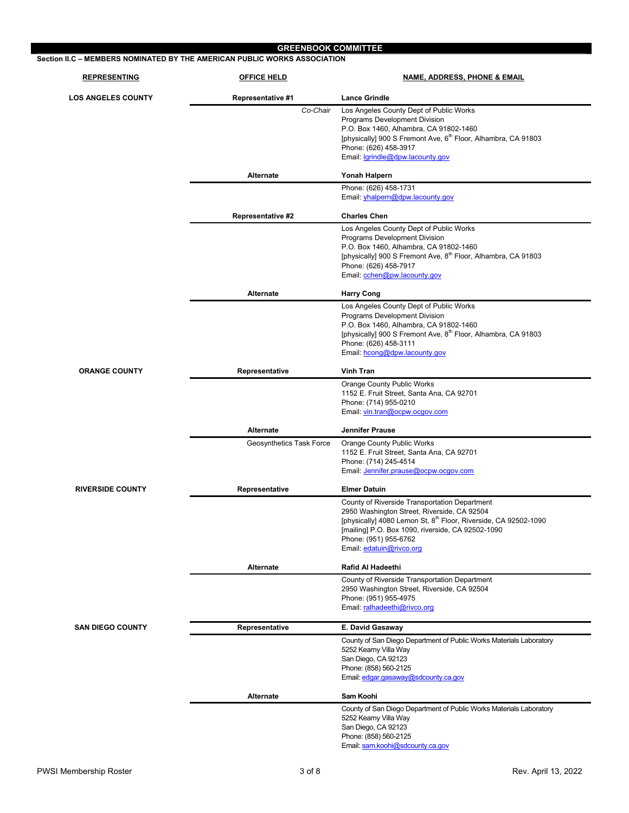| <b>REPRESENTING</b>       | <b>OFFICE HELD</b>       | <b>NAME, ADDRESS, PHONE &amp; EMAIL</b>                                                                                          |
|---------------------------|--------------------------|----------------------------------------------------------------------------------------------------------------------------------|
| <b>LOS ANGELES COUNTY</b> | <b>Representative #1</b> | <b>Lance Grindle</b>                                                                                                             |
|                           | Co-Chair                 | Los Angeles County Dept of Public Works                                                                                          |
|                           |                          | Programs Development Division<br>P.O. Box 1460, Alhambra, CA 91802-1460                                                          |
|                           |                          | [physically] 900 S Fremont Ave, 6 <sup>th</sup> Floor, Alhambra, CA 91803                                                        |
|                           |                          | Phone: (626) 458-3917                                                                                                            |
|                           |                          | Email: lgrindle@dpw.lacounty.gov                                                                                                 |
|                           | Alternate                | Yonah Halpern                                                                                                                    |
|                           |                          | Phone: (626) 458-1731<br>Email: yhalpern@dpw.lacounty.gov                                                                        |
|                           | <b>Representative #2</b> | <b>Charles Chen</b>                                                                                                              |
|                           |                          | Los Angeles County Dept of Public Works                                                                                          |
|                           |                          | Programs Development Division                                                                                                    |
|                           |                          | P.O. Box 1460, Alhambra, CA 91802-1460<br>[physically] 900 S Fremont Ave, 8 <sup>th</sup> Floor, Alhambra, CA 91803              |
|                           |                          | Phone: (626) 458-7917                                                                                                            |
|                           |                          | Email: cchen@pw.lacounty.gov                                                                                                     |
|                           | Alternate                | <b>Harry Cong</b>                                                                                                                |
|                           |                          | Los Angeles County Dept of Public Works                                                                                          |
|                           |                          | Programs Development Division<br>P.O. Box 1460, Alhambra, CA 91802-1460                                                          |
|                           |                          | [physically] 900 S Fremont Ave, 8 <sup>th</sup> Floor, Alhambra, CA 91803                                                        |
|                           |                          | Phone: (626) 458-3111                                                                                                            |
|                           |                          | Email: hcong@dpw.lacounty.gov                                                                                                    |
| <b>ORANGE COUNTY</b>      | Representative           | <b>Vinh Tran</b>                                                                                                                 |
|                           |                          | <b>Orange County Public Works</b>                                                                                                |
|                           |                          | 1152 E. Fruit Street, Santa Ana, CA 92701<br>Phone: (714) 955-0210                                                               |
|                           |                          | Email: vin.tran@ocpw.ocgov.com                                                                                                   |
|                           | Alternate                | <b>Jennifer Prause</b>                                                                                                           |
|                           | Geosynthetics Task Force | <b>Orange County Public Works</b>                                                                                                |
|                           |                          | 1152 E. Fruit Street, Santa Ana, CA 92701                                                                                        |
|                           |                          | Phone: (714) 245-4514<br>Email: Jennifer.prause@ocpw.ocqov.com                                                                   |
| <b>RIVERSIDE COUNTY</b>   | Representative           | <b>Elmer Datuin</b>                                                                                                              |
|                           |                          | County of Riverside Transportation Department                                                                                    |
|                           |                          | 2950 Washington Street, Riverside, CA 92504                                                                                      |
|                           |                          | [physically] 4080 Lemon St, 8 <sup>th</sup> Floor, Riverside, CA 92502-1090<br>[mailing] P.O. Box 1090, riverside, CA 92502-1090 |
|                           |                          | Phone: (951) 955-6762                                                                                                            |
|                           |                          | Email: edatuin@rivco.org                                                                                                         |
|                           | Alternate                | Rafid Al Hadeethi                                                                                                                |
|                           |                          | County of Riverside Transportation Department                                                                                    |
|                           |                          | 2950 Washington Street, Riverside, CA 92504<br>Phone: (951) 955-4975                                                             |
|                           |                          | Email: ralhadeethi@rivco.org                                                                                                     |
| <b>SAN DIEGO COUNTY</b>   | Representative           | E. David Gasaway                                                                                                                 |
|                           |                          | County of San Diego Department of Public Works Materials Laboratory                                                              |
|                           |                          | 5252 Kearny Villa Way                                                                                                            |
|                           |                          | San Diego, CA 92123<br>Phone: (858) 560-2125                                                                                     |
|                           |                          | Email: edgar.gasaway@sdcounty.ca.gov                                                                                             |
|                           | Alternate                | Sam Koohi                                                                                                                        |
|                           |                          | County of San Diego Department of Public Works Materials Laboratory                                                              |
|                           |                          | 5252 Kearny Villa Way<br>San Diego, CA 92123                                                                                     |
|                           |                          | Phone: (858) 560-2125                                                                                                            |
|                           |                          | Email: sam.koohi@sdcounty.ca.gov                                                                                                 |

I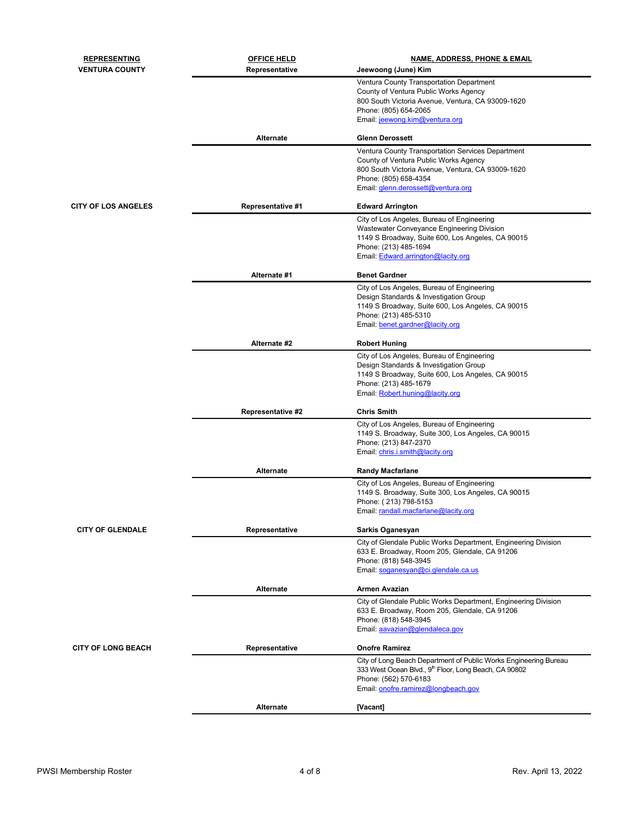| <b>REPRESENTING</b>        | <b>OFFICE HELD</b>       | <b>NAME, ADDRESS, PHONE &amp; EMAIL</b>                                                                         |
|----------------------------|--------------------------|-----------------------------------------------------------------------------------------------------------------|
| <b>VENTURA COUNTY</b>      | Representative           | Jeewoong (June) Kim                                                                                             |
|                            |                          | Ventura County Transportation Department                                                                        |
|                            |                          | County of Ventura Public Works Agency                                                                           |
|                            |                          | 800 South Victoria Avenue, Ventura, CA 93009-1620                                                               |
|                            |                          | Phone: (805) 654-2065<br>Email: jeewong.kim@ventura.org                                                         |
|                            |                          |                                                                                                                 |
|                            | <b>Alternate</b>         | <b>Glenn Derossett</b>                                                                                          |
|                            |                          | Ventura County Transportation Services Department                                                               |
|                            |                          | County of Ventura Public Works Agency                                                                           |
|                            |                          | 800 South Victoria Avenue, Ventura, CA 93009-1620<br>Phone: (805) 658-4354                                      |
|                            |                          | Email: glenn.derossett@ventura.org                                                                              |
| <b>CITY OF LOS ANGELES</b> | <b>Representative #1</b> | <b>Edward Arrington</b>                                                                                         |
|                            |                          | City of Los Angeles, Bureau of Engineering                                                                      |
|                            |                          | Wastewater Conveyance Engineering Division                                                                      |
|                            |                          | 1149 S Broadway, Suite 600, Los Angeles, CA 90015                                                               |
|                            |                          | Phone: (213) 485-1694<br>Email: Edward.arrington@lacity.org                                                     |
|                            |                          |                                                                                                                 |
|                            | Alternate #1             | <b>Benet Gardner</b>                                                                                            |
|                            |                          | City of Los Angeles, Bureau of Engineering<br>Design Standards & Investigation Group                            |
|                            |                          | 1149 S Broadway, Suite 600, Los Angeles, CA 90015                                                               |
|                            |                          | Phone: (213) 485-5310                                                                                           |
|                            |                          | Email: benet.gardner@lacity.org                                                                                 |
|                            | Alternate #2             | <b>Robert Huning</b>                                                                                            |
|                            |                          | City of Los Angeles, Bureau of Engineering                                                                      |
|                            |                          | Design Standards & Investigation Group                                                                          |
|                            |                          | 1149 S Broadway, Suite 600, Los Angeles, CA 90015                                                               |
|                            |                          | Phone: (213) 485-1679<br>Email: Robert.huning@lacity.org                                                        |
|                            |                          |                                                                                                                 |
|                            | <b>Representative #2</b> | <b>Chris Smith</b>                                                                                              |
|                            |                          | City of Los Angeles, Bureau of Engineering<br>1149 S. Broadway, Suite 300, Los Angeles, CA 90015                |
|                            |                          | Phone: (213) 847-2370                                                                                           |
|                            |                          | Email: chris.i.smith@lacity.org                                                                                 |
|                            | Alternate                | <b>Randy Macfarlane</b>                                                                                         |
|                            |                          | City of Los Angeles, Bureau of Engineering                                                                      |
|                            |                          | 1149 S. Broadway, Suite 300, Los Angeles, CA 90015                                                              |
|                            |                          | Phone: (213) 798-5153                                                                                           |
|                            |                          | Email: randall.macfarlane@lacity.org                                                                            |
| <b>CITY OF GLENDALE</b>    | Representative           | Sarkis Oganesyan                                                                                                |
|                            |                          | City of Glendale Public Works Department, Engineering Division                                                  |
|                            |                          | 633 E. Broadway, Room 205, Glendale, CA 91206                                                                   |
|                            |                          | Phone: (818) 548-3945<br>Email: soganesyan@ci.glendale.ca.us                                                    |
|                            |                          |                                                                                                                 |
|                            | <b>Alternate</b>         | Armen Avazian                                                                                                   |
|                            |                          | City of Glendale Public Works Department, Engineering Division<br>633 E. Broadway, Room 205, Glendale, CA 91206 |
|                            |                          | Phone: (818) 548-3945                                                                                           |
|                            |                          | Email: aavazian@glendaleca.gov                                                                                  |
| <b>CITY OF LONG BEACH</b>  |                          | <b>Onofre Ramirez</b>                                                                                           |
|                            | Representative           | City of Long Beach Department of Public Works Engineering Bureau                                                |
|                            |                          | 333 West Ocean Blvd., 9 <sup>th</sup> Floor, Long Beach, CA 90802                                               |
|                            |                          | Phone: (562) 570-6183                                                                                           |
|                            |                          | Email: onofre.ramirez@longbeach.gov                                                                             |
|                            | Alternate                | [Vacant]                                                                                                        |
|                            |                          |                                                                                                                 |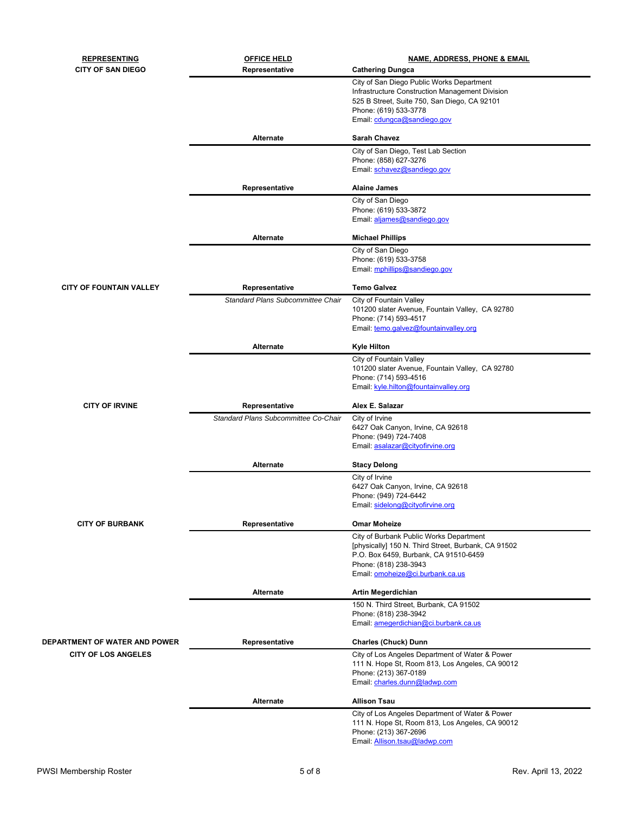| <b>REPRESENTING</b>                  | <b>OFFICE HELD</b>                       | <b>NAME, ADDRESS, PHONE &amp; EMAIL</b>                        |  |
|--------------------------------------|------------------------------------------|----------------------------------------------------------------|--|
| <b>CITY OF SAN DIEGO</b>             | Representative                           | <b>Cathering Dungca</b>                                        |  |
|                                      |                                          | City of San Diego Public Works Department                      |  |
|                                      |                                          | Infrastructure Construction Management Division                |  |
|                                      |                                          | 525 B Street, Suite 750, San Diego, CA 92101                   |  |
|                                      |                                          | Phone: (619) 533-3778                                          |  |
|                                      |                                          | Email: cdungca@sandiego.gov                                    |  |
|                                      | Alternate                                | <b>Sarah Chavez</b>                                            |  |
|                                      |                                          | City of San Diego, Test Lab Section                            |  |
|                                      |                                          | Phone: (858) 627-3276                                          |  |
|                                      |                                          | Email: schavez@sandiego.gov                                    |  |
|                                      | Representative                           | <b>Alaine James</b>                                            |  |
|                                      |                                          | City of San Diego                                              |  |
|                                      |                                          | Phone: (619) 533-3872<br>Email: aljames@sandiego.gov           |  |
|                                      |                                          |                                                                |  |
|                                      | Alternate                                | <b>Michael Phillips</b>                                        |  |
|                                      |                                          | City of San Diego                                              |  |
|                                      |                                          | Phone: (619) 533-3758                                          |  |
|                                      |                                          | Email: mphillips@sandiego.gov                                  |  |
| <b>CITY OF FOUNTAIN VALLEY</b>       | Representative                           | <b>Temo Galvez</b>                                             |  |
|                                      | <b>Standard Plans Subcommittee Chair</b> | City of Fountain Valley                                        |  |
|                                      |                                          | 101200 slater Avenue, Fountain Valley, CA 92780                |  |
|                                      |                                          | Phone: (714) 593-4517<br>Email: temo.galvez@fountainvalley.org |  |
|                                      |                                          |                                                                |  |
|                                      | Alternate                                | <b>Kyle Hilton</b>                                             |  |
|                                      |                                          | City of Fountain Valley                                        |  |
|                                      |                                          | 101200 slater Avenue, Fountain Valley, CA 92780                |  |
|                                      |                                          | Phone: (714) 593-4516<br>Email: kyle.hilton@fountainvalley.org |  |
|                                      |                                          |                                                                |  |
| <b>CITY OF IRVINE</b>                | Representative                           | Alex E. Salazar                                                |  |
|                                      | Standard Plans Subcommittee Co-Chair     | City of Irvine                                                 |  |
|                                      |                                          | 6427 Oak Canyon, Irvine, CA 92618                              |  |
|                                      |                                          | Phone: (949) 724-7408<br>Email: asalazar@cityofirvine.org      |  |
|                                      |                                          |                                                                |  |
|                                      | Alternate                                | <b>Stacy Delong</b>                                            |  |
|                                      |                                          | City of Irvine                                                 |  |
|                                      |                                          | 6427 Oak Canyon, Irvine, CA 92618                              |  |
|                                      |                                          | Phone: (949) 724-6442                                          |  |
|                                      |                                          | Email: sidelong@cityofirvine.org                               |  |
| <b>CITY OF BURBANK</b>               | Representative                           | <b>Omar Moheize</b>                                            |  |
|                                      |                                          | City of Burbank Public Works Department                        |  |
|                                      |                                          | [physically] 150 N. Third Street, Burbank, CA 91502            |  |
|                                      |                                          | P.O. Box 6459, Burbank, CA 91510-6459                          |  |
|                                      |                                          | Phone: (818) 238-3943<br>Email: omoheize@ci.burbank.ca.us      |  |
|                                      |                                          |                                                                |  |
|                                      | Alternate                                | Artin Megerdichian                                             |  |
|                                      |                                          | 150 N. Third Street, Burbank, CA 91502                         |  |
|                                      |                                          | Phone: (818) 238-3942                                          |  |
|                                      |                                          | Email: amegerdichian@ci.burbank.ca.us                          |  |
| <b>DEPARTMENT OF WATER AND POWER</b> | Representative                           | <b>Charles (Chuck) Dunn</b>                                    |  |
| <b>CITY OF LOS ANGELES</b>           |                                          | City of Los Angeles Department of Water & Power                |  |
|                                      |                                          | 111 N. Hope St, Room 813, Los Angeles, CA 90012                |  |
|                                      |                                          | Phone: (213) 367-0189                                          |  |
|                                      |                                          | Email: charles.dunn@ladwp.com                                  |  |
|                                      | Alternate                                | <b>Allison Tsau</b>                                            |  |
|                                      |                                          | City of Los Angeles Department of Water & Power                |  |
|                                      |                                          | 111 N. Hope St, Room 813, Los Angeles, CA 90012                |  |
|                                      |                                          | Phone: (213) 367-2696                                          |  |
|                                      |                                          | Email: Allison.tsau@ladwp.com                                  |  |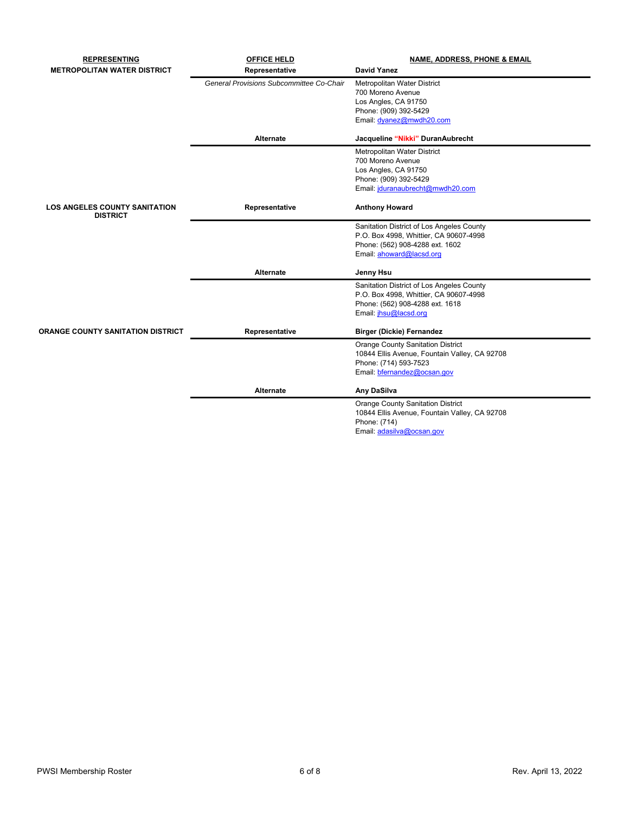| <b>REPRESENTING</b>                                     | <b>OFFICE HELD</b>                       | <b>NAME, ADDRESS, PHONE &amp; EMAIL</b>       |
|---------------------------------------------------------|------------------------------------------|-----------------------------------------------|
| <b>METROPOLITAN WATER DISTRICT</b>                      | Representative                           | <b>David Yanez</b>                            |
|                                                         | General Provisions Subcommittee Co-Chair | Metropolitan Water District                   |
|                                                         |                                          | 700 Moreno Avenue                             |
|                                                         |                                          | Los Angles, CA 91750                          |
|                                                         |                                          | Phone: (909) 392-5429                         |
|                                                         |                                          | Email: dyanez@mwdh20.com                      |
|                                                         | Alternate                                | Jacqueline "Nikki" DuranAubrecht              |
|                                                         |                                          | Metropolitan Water District                   |
|                                                         |                                          | 700 Moreno Avenue                             |
|                                                         |                                          | Los Angles, CA 91750                          |
|                                                         |                                          | Phone: (909) 392-5429                         |
|                                                         |                                          | Email: jduranaubrecht@mwdh20.com              |
| <b>LOS ANGELES COUNTY SANITATION</b><br><b>DISTRICT</b> | Representative                           | <b>Anthony Howard</b>                         |
|                                                         |                                          | Sanitation District of Los Angeles County     |
|                                                         |                                          | P.O. Box 4998, Whittier, CA 90607-4998        |
|                                                         |                                          | Phone: (562) 908-4288 ext. 1602               |
|                                                         |                                          | Email: ahoward@lacsd.org                      |
|                                                         | <b>Alternate</b>                         | Jenny Hsu                                     |
|                                                         |                                          | Sanitation District of Los Angeles County     |
|                                                         |                                          | P.O. Box 4998, Whittier, CA 90607-4998        |
|                                                         |                                          | Phone: (562) 908-4288 ext. 1618               |
|                                                         |                                          | Email: jhsu@lacsd.org                         |
| <b>ORANGE COUNTY SANITATION DISTRICT</b>                | Representative                           | <b>Birger (Dickie) Fernandez</b>              |
|                                                         |                                          | <b>Orange County Sanitation District</b>      |
|                                                         |                                          | 10844 Ellis Avenue, Fountain Valley, CA 92708 |
|                                                         |                                          | Phone: (714) 593-7523                         |
|                                                         |                                          | Email: bfernandez@ocsan.gov                   |
|                                                         | Alternate                                | Any DaSilva                                   |
|                                                         |                                          | <b>Orange County Sanitation District</b>      |
|                                                         |                                          | 10844 Ellis Avenue, Fountain Valley, CA 92708 |
|                                                         |                                          | Phone: (714)                                  |
|                                                         |                                          | Email: adasilva@ocsan.gov                     |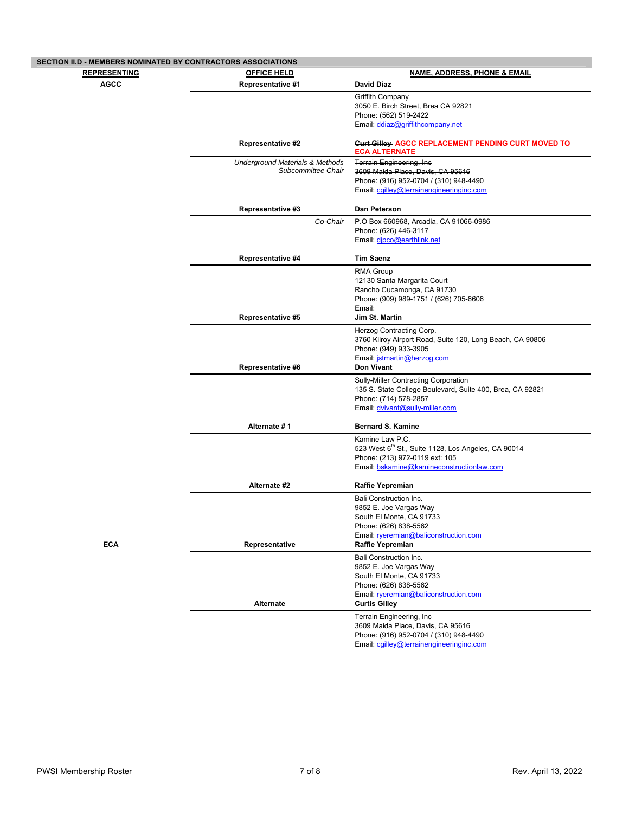| SECTION II.D - MEMBERS NOMINATED BY CONTRACTORS ASSOCIATIONS |                                            |                                                                                                   |
|--------------------------------------------------------------|--------------------------------------------|---------------------------------------------------------------------------------------------------|
| <b>REPRESENTING</b>                                          | <b>OFFICE HELD</b>                         | <b>NAME, ADDRESS, PHONE &amp; EMAIL</b>                                                           |
| <b>AGCC</b>                                                  | <b>Representative #1</b>                   | <b>David Diaz</b>                                                                                 |
|                                                              |                                            | <b>Griffith Company</b>                                                                           |
|                                                              |                                            | 3050 E. Birch Street, Brea CA 92821                                                               |
|                                                              |                                            | Phone: (562) 519-2422                                                                             |
|                                                              |                                            | Email: ddiaz@griffithcompany.net                                                                  |
|                                                              | <b>Representative #2</b>                   | Curt Gilley-AGCC REPLACEMENT PENDING CURT MOVED TO<br><b>ECA ALTERNATE</b>                        |
|                                                              | <b>Underground Materials &amp; Methods</b> | <b>Terrain Engineering, Inc.</b>                                                                  |
|                                                              | Subcommittee Chair                         | 3609 Maida Place, Davis, CA 95616                                                                 |
|                                                              |                                            | Phone: (916) 952-0704 / (310) 948-4490<br>Email: cgilley@terrainengineeringinc.com                |
|                                                              |                                            |                                                                                                   |
|                                                              | <b>Representative #3</b>                   | Dan Peterson                                                                                      |
|                                                              | Co-Chair                                   | P.O Box 660968, Arcadia, CA 91066-0986                                                            |
|                                                              |                                            | Phone: (626) 446-3117                                                                             |
|                                                              |                                            | Email: dipco@earthlink.net                                                                        |
|                                                              | Representative #4                          | <b>Tim Saenz</b>                                                                                  |
|                                                              |                                            | <b>RMA Group</b>                                                                                  |
|                                                              |                                            | 12130 Santa Margarita Court                                                                       |
|                                                              |                                            | Rancho Cucamonga, CA 91730                                                                        |
|                                                              |                                            | Phone: (909) 989-1751 / (626) 705-6606<br>Email:                                                  |
|                                                              | Representative #5                          | Jim St. Martin                                                                                    |
|                                                              |                                            | Herzog Contracting Corp.                                                                          |
|                                                              |                                            | 3760 Kilroy Airport Road, Suite 120, Long Beach, CA 90806                                         |
|                                                              |                                            | Phone: (949) 933-3905                                                                             |
|                                                              | <b>Representative #6</b>                   | Email: jstmartin@herzog.com<br>Don Vivant                                                         |
|                                                              |                                            | Sully-Miller Contracting Corporation                                                              |
|                                                              |                                            | 135 S. State College Boulevard, Suite 400, Brea, CA 92821                                         |
|                                                              |                                            | Phone: (714) 578-2857                                                                             |
|                                                              |                                            | Email: dvivant@sully-miller.com                                                                   |
|                                                              | Alternate #1                               | <b>Bernard S. Kamine</b>                                                                          |
|                                                              |                                            | Kamine Law P.C.                                                                                   |
|                                                              |                                            | 523 West 6 <sup>th</sup> St., Suite 1128, Los Angeles, CA 90014<br>Phone: (213) 972-0119 ext: 105 |
|                                                              |                                            | Email: bskamine@kamineconstructionlaw.com                                                         |
|                                                              |                                            |                                                                                                   |
|                                                              | Alternate #2                               | <b>Raffie Yepremian</b>                                                                           |
|                                                              |                                            | <b>Bali Construction Inc.</b>                                                                     |
|                                                              |                                            | 9852 E. Joe Vargas Way<br>South El Monte, CA 91733                                                |
|                                                              |                                            | Phone: (626) 838-5562                                                                             |
|                                                              |                                            | Email: rveremian@baliconstruction.com                                                             |
| <b>ECA</b>                                                   | Representative                             | Raffie Yepremian                                                                                  |
|                                                              |                                            | <b>Bali Construction Inc.</b>                                                                     |
|                                                              |                                            | 9852 E. Joe Vargas Way<br>South El Monte, CA 91733                                                |
|                                                              |                                            | Phone: (626) 838-5562                                                                             |
|                                                              |                                            | Email: ryeremian@baliconstruction.com                                                             |
|                                                              | Alternate                                  | <b>Curtis Gilley</b>                                                                              |
|                                                              |                                            | Terrain Engineering, Inc                                                                          |
|                                                              |                                            | 3609 Maida Place, Davis, CA 95616                                                                 |
|                                                              |                                            | Phone: (916) 952-0704 / (310) 948-4490<br>Email: cgilley@terrainengineeringinc.com                |